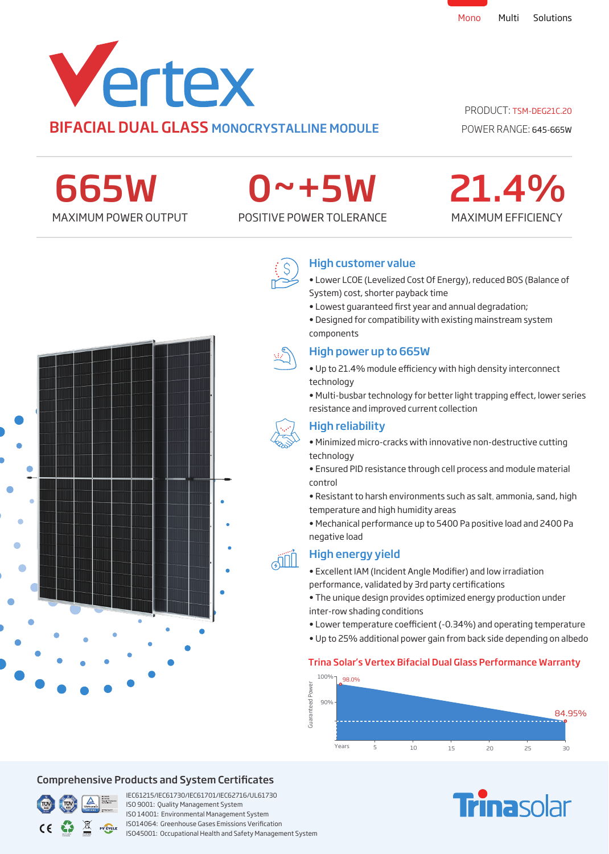

## PRODUCT: TSM-DEG21C.20

POWER RANGE: 645-665W

MAXIMUM EFFICIENCY

21.4%

665W

# 0~+5W

MAXIMUM POWER OUTPUT POSITIVE POWER TOLERANCE



## High customer value

- Lower LCOE (Levelized Cost Of Energy), reduced BOS (Balance of System) cost, shorter payback time
- Lowest guaranteed first year and annual degradation;
- Designed for compatibility with existing mainstream system components



**AIL** 

### High power up to 665W

- Up to 21.4% module efficiency with high density interconnect technology
- Multi-busbar technology for better light trapping effect, lower series resistance and improved current collection



- Minimized micro-cracks with innovative non-destructive cutting technology
- Ensured PID resistance through cell process and module material control
- Resistant to harsh environments such as salt, ammonia, sand, high temperature and high humidity areas
- Mechanical performance up to 5400 Pa positive load and 2400 Pa negative load

## High energy yield

- Excellent IAM (Incident Angle Modifier) and low irradiation performance, validated by 3rd party certifications
- The unique design provides optimized energy production under inter-row shading conditions
- Lower temperature coefficient (-0.34%) and operating temperature
- Up to 25% additional power gain from back side depending on albedo

### Trina Solar's Vertex Bifacial Dual Glass Performance Warranty



# **Finasolar**



## Comprehensive Products and System Certificates



IEC61215/IEC61730/IEC61701/IEC62716/UL61730 ISO 9001: Quality Management System ISO 14001: Environmental Management System ISO14064: Greenhouse Gases Emissions Verication ISO45001: Occupational Health and Safety Management System